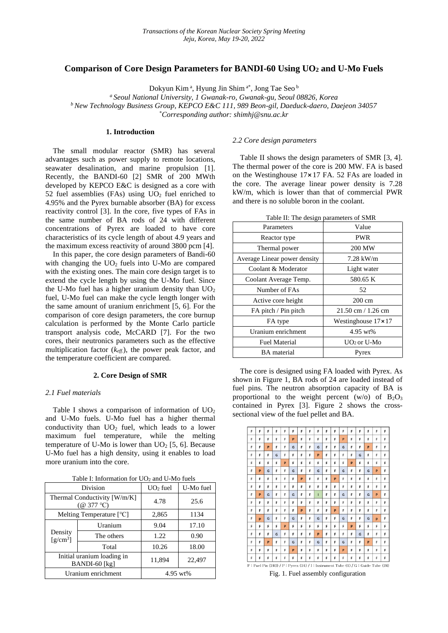# **Comparison of Core Design Parameters for BANDI-60 Using UO<sup>2</sup> and U-Mo Fuels**

Dokyun Kim<sup>a</sup>, Hyung Jin Shim<sup>a\*</sup>, Jong Tae Seo<sup>b</sup>

*<sup>a</sup>Seoul National University, 1 Gwanak-ro, Gwanak-gu, Seoul 08826, Korea*

*<sup>b</sup>New Technology Business Group, KEPCO E&C 111, 989 Beon-gil, Daeduck-daero, Daejeon 34057*

\**Corresponding author: shimhj@snu.ac.kr*

# **1. Introduction**

The small modular reactor (SMR) has several advantages such as power supply to remote locations, seawater desalination, and marine propulsion [1]. Recently, the BANDI-60 [2] SMR of 200 MWth developed by KEPCO E&C is designed as a core with 52 fuel assemblies (FAs) using  $UO<sub>2</sub>$  fuel enriched to 4.95% and the Pyrex burnable absorber (BA) for excess reactivity control [3]. In the core, five types of FAs in the same number of BA rods of 24 with different concentrations of Pyrex are loaded to have core characteristics of its cycle length of about 4.9 years and the maximum excess reactivity of around 3800 pcm [4].

In this paper, the core design parameters of Bandi-60 with changing the  $UO<sub>2</sub>$  fuels into U-Mo are compared with the existing ones. The main core design target is to extend the cycle length by using the U-Mo fuel. Since the U-Mo fuel has a higher uranium density than  $UO<sub>2</sub>$ fuel, U-Mo fuel can make the cycle length longer with the same amount of uranium enrichment [5, 6]. For the comparison of core design parameters, the core burnup calculation is performed by the Monte Carlo particle transport analysis code, McCARD [7]. For the two cores, their neutronics parameters such as the effective multiplication factor (*keff.*), the power peak factor, and the temperature coefficient are compared.

### **2. Core Design of SMR**

## *2.1 Fuel materials*

Table I shows a comparison of information of UO<sup>2</sup> and U-Mo fuels. U-Mo fuel has a higher thermal conductivity than  $UO<sub>2</sub>$  fuel, which leads to a lower maximum fuel temperature, while the melting temperature of U-Mo is lower than  $UO<sub>2</sub>$  [5, 6]. Because U-Mo fuel has a high density, using it enables to load more uranium into the core.

| <b>Fable 1.</b> Implemation for $\mathcal{O}O_2$ and $\mathcal{O}$ -wid fucts |                                             |                  |           |
|-------------------------------------------------------------------------------|---------------------------------------------|------------------|-----------|
| Division                                                                      |                                             | $UO2$ fuel       | U-Mo fuel |
| Thermal Conductivity [W/m/K]<br>$($ @ 377 °C)                                 |                                             | 4.78             | 25.6      |
|                                                                               | Melting Temperature $[°C]$                  | 2,865            | 1134      |
| Density<br>$[g/cm^3]$                                                         | Uranium                                     | 9.04             | 17.10     |
|                                                                               | The others                                  | 1.22             | 0.90      |
|                                                                               | Total                                       | 10.26            | 18.00     |
|                                                                               | Initial uranium loading in<br>BANDI-60 [kg] | 11,894<br>22,497 |           |
| Uranium enrichment                                                            |                                             | 4.95 wt%         |           |

### *2.2 Core design parameters*

Table II shows the design parameters of SMR [3, 4]. The thermal power of the core is 200 MW. FA is based on the Westinghouse  $17 \times 17$  FA. 52 FAs are loaded in the core. The average linear power density is 7.28 kW/m, which is lower than that of commercial PWR and there is no soluble boron in the coolant.

| Table II: The design parameters of SMR |                                      |  |
|----------------------------------------|--------------------------------------|--|
| Parameters                             | Value                                |  |
| Reactor type                           | PWR                                  |  |
| Thermal power                          | 200 MW                               |  |
| Average Linear power density           | $7.28 \text{ kW/m}$                  |  |
| Coolant & Moderator                    | Light water                          |  |
| Coolant Average Temp.                  | 580.65 K                             |  |
| Number of FAs                          | 52                                   |  |
| Active core height                     | $200 \text{ cm}$                     |  |
| FA pitch / Pin pitch                   | $21.50 \text{ cm} / 1.26 \text{ cm}$ |  |
| FA type                                | Westinghouse $17 \times 17$          |  |
| Uranium enrichment                     | 4.95 wt%                             |  |
| <b>Fuel Material</b>                   | UO2 or U-Mo                          |  |
| <b>BA</b> material                     | Pyrex                                |  |

The core is designed using FA loaded with Pyrex. As shown in Figure 1, BA rods of 24 are loaded instead of fuel pins. The neutron absorption capacity of BA is proportional to the weight percent  $(w/o)$  of  $B_2O_3$ contained in Pyrex [3]. Figure 2 shows the crosssectional view of the fuel pellet and BA.



Fig. 1. Fuel assembly configuration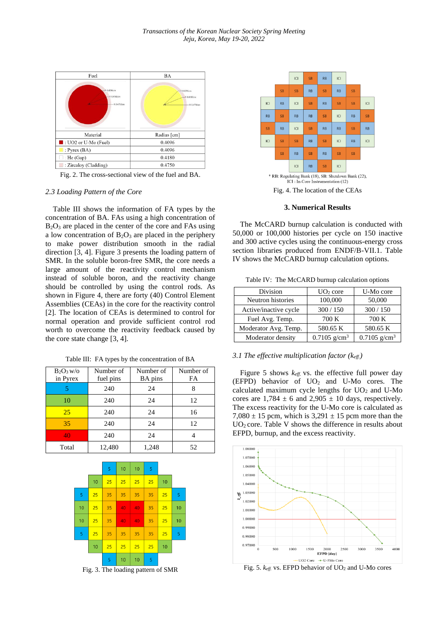

Fig. 2. The cross-sectional view of the fuel and BA.

### *2.3 Loading Pattern of the Core*

Table III shows the information of FA types by the concentration of BA. FAs using a high concentration of B<sub>2</sub>O<sub>3</sub> are placed in the center of the core and FAs using a low concentration of  $B_2O_3$  are placed in the periphery to make power distribution smooth in the radial direction [3, 4]. Figure 3 presents the loading pattern of SMR. In the soluble boron-free SMR, the core needs a large amount of the reactivity control mechanism instead of soluble boron, and the reactivity change should be controlled by using the control rods. As shown in Figure 4, there are forty (40) Control Element Assemblies (CEAs) in the core for the reactivity control [2]. The location of CEAs is determined to control for normal operation and provide sufficient control rod worth to overcome the reactivity feedback caused by the core state change [3, 4].

Table III: FA types by the concentration of BA

| $B_2O_3$ w/o | Number of | Number of | Number of |
|--------------|-----------|-----------|-----------|
| in Pyrex     | fuel pins | BA pins   | FA        |
|              | 240       | 24        |           |
| 10           | 240       | 24        | 12        |
| 25           | 240       | 24        | 16        |
| 35           | 240       | 24        | 12        |
| 40           | 240       | 24        |           |
| Total        | 12,480    | 1,248     | 52        |



Fig. 3. The loading pattern of SMR



**3. Numerical Results**

The McCARD burnup calculation is conducted with 50,000 or 100,000 histories per cycle on 150 inactive and 300 active cycles using the continuous-energy cross section libraries produced from ENDF/B-VII.1. Table IV shows the McCARD burnup calculation options.

Table IV: The McCARD burnup calculation options

| Division              | $UO2$ core                 | U-Mo core                  |
|-----------------------|----------------------------|----------------------------|
| Neutron histories     | 100,000                    | 50,000                     |
| Active/inactive cycle | 300/150                    | 300/150                    |
| Fuel Avg. Temp.       | 700K                       | 700K                       |
| Moderator Avg. Temp.  | 580.65 K                   | 580.65 K                   |
| Moderator density     | $0.7105$ g/cm <sup>3</sup> | $0.7105$ g/cm <sup>3</sup> |

#### *3.1 The effective multiplication factor (keff.)*

Figure 5 shows *keff.* vs. the effective full power day (EFPD) behavior of UO<sup>2</sup> and U-Mo cores. The calculated maximum cycle lengths for  $UO<sub>2</sub>$  and U-Mo cores are  $1,784 \pm 6$  and  $2,905 \pm 10$  days, respectively. The excess reactivity for the U-Mo core is calculated as  $7,080 \pm 15$  pcm, which is  $3,291 \pm 15$  pcm more than the  $UO<sub>2</sub>$  core. Table V shows the difference in results about EFPD, burnup, and the excess reactivity.



Fig. 5. *keff.* vs. EFPD behavior of UO<sup>2</sup> and U-Mo cores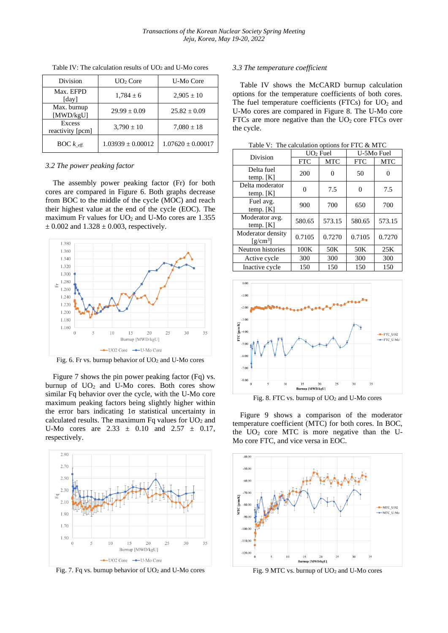| <b>Division</b>            | UO <sub>2</sub> Core  | U-Mo Core           |
|----------------------------|-----------------------|---------------------|
| Max. EFPD<br>[day]         | $1,784 \pm 6$         | $2,905 \pm 10$      |
| Max. burnup<br>[MWD/kgU]   | $29.99 \pm 0.09$      | $25.82 \pm 0.09$    |
| Excess<br>reactivity [pcm] | $3,790 \pm 10$        | $7,080 \pm 18$      |
| <b>BOC</b> $k$ eff.        | $1.03939 \pm 0.00012$ | $1.07620 + 0.00017$ |

Table IV: The calculation results of UO<sub>2</sub> and U-Mo cores

## *3.2 The power peaking factor*

The assembly power peaking factor (Fr) for both cores are compared in Figure 6. Both graphs decrease from BOC to the middle of the cycle (MOC) and reach their highest value at the end of the cycle (EOC). The maximum Fr values for  $UO<sub>2</sub>$  and U-Mo cores are 1.355  $\pm$  0.002 and 1.328  $\pm$  0.003, respectively.



Fig. 6. Fr vs. burnup behavior of  $UO<sub>2</sub>$  and U-Mo cores

Figure 7 shows the pin power peaking factor (Fq) vs. burnup of  $UO<sub>2</sub>$  and U-Mo cores. Both cores show similar Fq behavior over the cycle, with the U-Mo core maximum peaking factors being slightly higher within the error bars indicating 1σ statistical uncertainty in calculated results. The maximum Fq values for  $UO<sub>2</sub>$  and U-Mo cores are  $2.33 \pm 0.10$  and  $2.57 \pm 0.17$ , respectively.



Fig. 7. Fq vs. burnup behavior of UO<sup>2</sup> and U-Mo cores

#### *3.3 The temperature coefficient*

Table IV shows the McCARD burnup calculation options for the temperature coefficients of both cores. The fuel temperature coefficients (FTCs) for  $UO<sub>2</sub>$  and U-Mo cores are compared in Figure 8. The U-Mo core FTCs are more negative than the  $UO<sub>2</sub>$  core FTCs over the cycle.

| Division                                          | $UO2$ Fuel |            | U-5Mo Fuel |            |
|---------------------------------------------------|------------|------------|------------|------------|
|                                                   | <b>FTC</b> | <b>MTC</b> | <b>FTC</b> | <b>MTC</b> |
| Delta fuel<br>temp. $[K]$                         | 200        | $\Omega$   | 50         | 0          |
| Delta moderator<br>temp. $[K]$                    | ∩          | 7.5        | 0          | 7.5        |
| Fuel avg.<br>temp. [K]                            | 900        | 700        | 650        | 700        |
| Moderator avg.<br>temp. [K]                       | 580.65     | 573.15     | 580.65     | 573.15     |
| Moderator density<br>$\left[\text{g/cm}^3\right]$ | 0.7105     | 0.7270     | 0.7105     | 0.7270     |
| Neutron histories                                 | 100K       | 50K        | 50K        | 25K        |
| Active cycle                                      | 300        | 300        | 300        | 300        |
| Inactive cycle                                    | 150        | 150        | 150        | 150        |

Table V: The calculation options for FTC & MTC



Fig. 8. FTC vs. burnup of UO<sup>2</sup> and U-Mo cores

Figure 9 shows a comparison of the moderator temperature coefficient (MTC) for both cores. In BOC, the  $UO<sub>2</sub>$  core MTC is more negative than the U-Mo core FTC, and vice versa in EOC.



Fig. 9 MTC vs. burnup of UO<sup>2</sup> and U-Mo cores